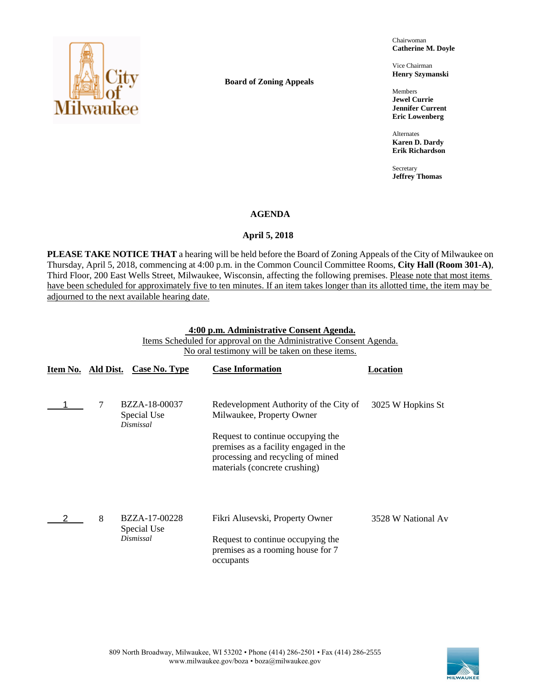

**Board of Zoning Appeals**

Chairwoman **Catherine M. Doyle**

Vice Chairman **Henry Szymanski**

Members **Jewel Currie Jennifer Current Eric Lowenberg**

Alternates **Karen D. Dardy Erik Richardson**

Secretary **Jeffrey Thomas**

### **AGENDA**

## April 5, 2018

**PLEASE TAKE NOTICE THAT** a hearing will be held before the Board of Zoning Appeals of the City of Milwaukee on Thursday, April 5, 2018, commencing at 4:00 p.m. in the Common Council Committee Rooms, **City Hall (Room 301-A)**, Third Floor, 200 East Wells Street, Milwaukee, Wisconsin, affecting the following premises. Please note that most items have been scheduled for approximately five to ten minutes. If an item takes longer than its allotted time, the item may be adjourned to the next available hearing date.

## **4:00 p.m. Administrative Consent Agenda.**

Items Scheduled for approval on the Administrative Consent Agenda. No oral testimony will be taken on these items.

| Item No. | Ald Dist. | Case No. Type                             | <b>Case Information</b>                                                                                                                          | Location           |
|----------|-----------|-------------------------------------------|--------------------------------------------------------------------------------------------------------------------------------------------------|--------------------|
|          |           | BZZA-18-00037<br>Special Use              | Redevelopment Authority of the City of<br>Milwaukee, Property Owner                                                                              | 3025 W Hopkins St  |
|          |           | Dismissal                                 | Request to continue occupying the<br>premises as a facility engaged in the<br>processing and recycling of mined<br>materials (concrete crushing) |                    |
|          | 8         | BZZA-17-00228<br>Special Use<br>Dismissal | Fikri Alusevski, Property Owner<br>Request to continue occupying the<br>premises as a rooming house for 7<br>occupants                           | 3528 W National Av |

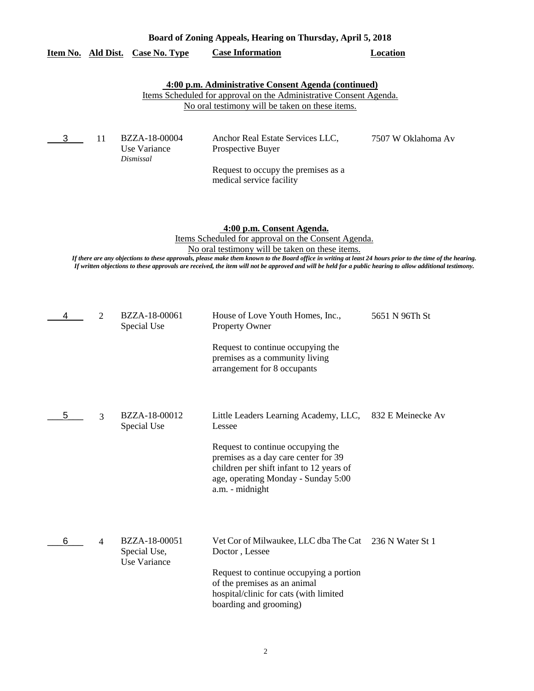|   |    | Item No. Ald Dist. Case No. Type                     | <b>Case Information</b>                                                                                                                                                                                                                                                                                                                                                                                                                                       | <b>Location</b>    |
|---|----|------------------------------------------------------|---------------------------------------------------------------------------------------------------------------------------------------------------------------------------------------------------------------------------------------------------------------------------------------------------------------------------------------------------------------------------------------------------------------------------------------------------------------|--------------------|
|   |    |                                                      | 4:00 p.m. Administrative Consent Agenda (continued)<br>Items Scheduled for approval on the Administrative Consent Agenda.<br>No oral testimony will be taken on these items.                                                                                                                                                                                                                                                                                  |                    |
| 3 | 11 | BZZA-18-00004<br>Use Variance<br>Dismissal           | Anchor Real Estate Services LLC,<br>Prospective Buyer<br>Request to occupy the premises as a<br>medical service facility                                                                                                                                                                                                                                                                                                                                      | 7507 W Oklahoma Av |
|   |    |                                                      | 4:00 p.m. Consent Agenda.<br>Items Scheduled for approval on the Consent Agenda.<br>No oral testimony will be taken on these items.<br>If there are any objections to these approvals, please make them known to the Board office in writing at least 24 hours prior to the time of the hearing.<br>If written objections to these approvals are received, the item will not be approved and will be held for a public hearing to allow additional testimony. |                    |
| 4 | 2  | BZZA-18-00061<br>Special Use                         | House of Love Youth Homes, Inc.,<br><b>Property Owner</b><br>Request to continue occupying the<br>premises as a community living<br>arrangement for 8 occupants                                                                                                                                                                                                                                                                                               | 5651 N 96Th St     |
| 5 | 3  | BZZA-18-00012<br>Special Use                         | Little Leaders Learning Academy, LLC,<br>Lessee<br>Request to continue occupying the<br>premises as a day care center for 39<br>children per shift infant to 12 years of<br>age, operating Monday - Sunday 5:00<br>a.m. - midnight                                                                                                                                                                                                                            | 832 E Meinecke Av  |
| 6 | 4  | BZZA-18-00051<br>Special Use,<br><b>Use Variance</b> | Vet Cor of Milwaukee, LLC dba The Cat 236 N Water St 1<br>Doctor, Lessee<br>Request to continue occupying a portion<br>of the premises as an animal<br>hospital/clinic for cats (with limited<br>boarding and grooming)                                                                                                                                                                                                                                       |                    |

**Board of Zoning Appeals, Hearing on Thursday, April 5, 2018**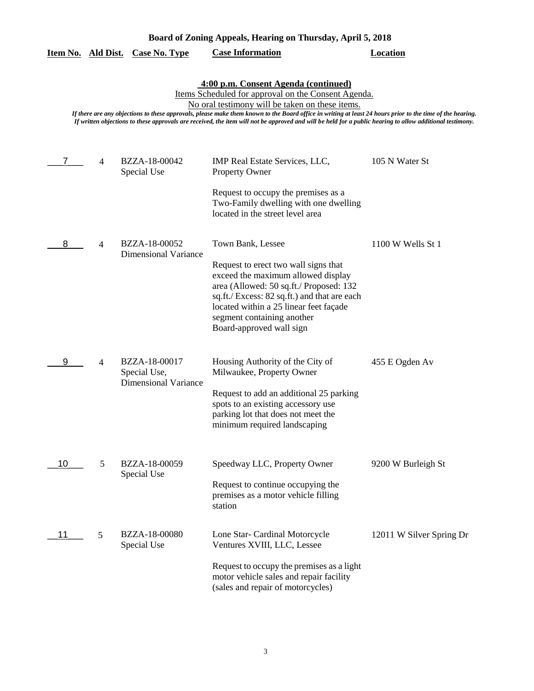| Board of Zoning Appeals, Hearing on Thursday, April 5, 2018 |
|-------------------------------------------------------------|
|-------------------------------------------------------------|

|    |   | <u>Item No. Ald Dist. Case No. Type</u>                      | <b>Case Information</b>                                                                                                                                                                                                                                                                                                                                                                                                                                                  | Location                 |
|----|---|--------------------------------------------------------------|--------------------------------------------------------------------------------------------------------------------------------------------------------------------------------------------------------------------------------------------------------------------------------------------------------------------------------------------------------------------------------------------------------------------------------------------------------------------------|--------------------------|
|    |   |                                                              | 4:00 p.m. Consent Agenda (continued)<br>Items Scheduled for approval on the Consent Agenda.<br>No oral testimony will be taken on these items.<br>If there are any objections to these approvals, please make them known to the Board office in writing at least 24 hours prior to the time of the hearing.<br>If written objections to these approvals are received, the item will not be approved and will be held for a public hearing to allow additional testimony. |                          |
| 7  | 4 | BZZA-18-00042<br>Special Use                                 | IMP Real Estate Services, LLC,<br><b>Property Owner</b>                                                                                                                                                                                                                                                                                                                                                                                                                  | 105 N Water St           |
|    |   |                                                              | Request to occupy the premises as a<br>Two-Family dwelling with one dwelling<br>located in the street level area                                                                                                                                                                                                                                                                                                                                                         |                          |
| 8  | 4 | BZZA-18-00052<br><b>Dimensional Variance</b>                 | Town Bank, Lessee<br>Request to erect two wall signs that<br>exceed the maximum allowed display<br>area (Allowed: 50 sq.ft./ Proposed: 132<br>sq.ft./ Excess: 82 sq.ft.) and that are each<br>located within a 25 linear feet façade<br>segment containing another<br>Board-approved wall sign                                                                                                                                                                           | 1100 W Wells St 1        |
| 9  | 4 | BZZA-18-00017<br>Special Use,<br><b>Dimensional Variance</b> | Housing Authority of the City of<br>Milwaukee, Property Owner<br>Request to add an additional 25 parking<br>spots to an existing accessory use<br>parking lot that does not meet the<br>minimum required landscaping                                                                                                                                                                                                                                                     | 455 E Ogden Av           |
| 10 | 5 | BZZA-18-00059<br>Special Use                                 | Speedway LLC, Property Owner<br>Request to continue occupying the<br>premises as a motor vehicle filling<br>station                                                                                                                                                                                                                                                                                                                                                      | 9200 W Burleigh St       |
| 11 | 5 | BZZA-18-00080<br>Special Use                                 | Lone Star- Cardinal Motorcycle<br>Ventures XVIII, LLC, Lessee<br>Request to occupy the premises as a light<br>motor vehicle sales and repair facility<br>(sales and repair of motorcycles)                                                                                                                                                                                                                                                                               | 12011 W Silver Spring Dr |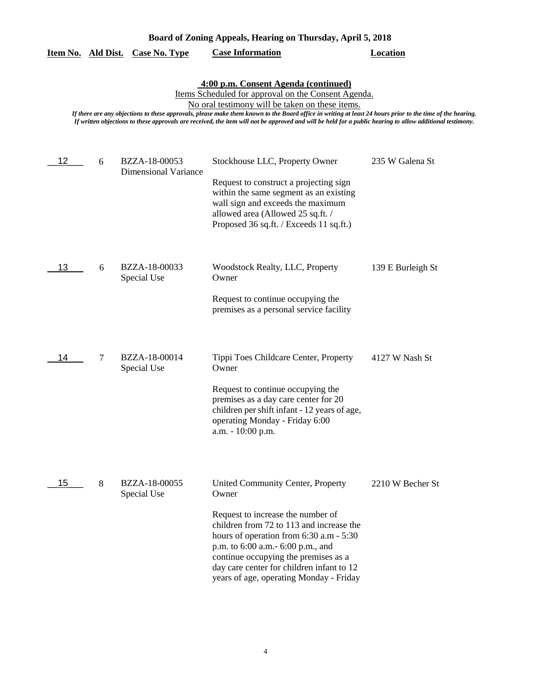| Board of Zoning Appeals, Hearing on Thursday, April 5, 2018 |  |  |
|-------------------------------------------------------------|--|--|
|                                                             |  |  |

|  | Item No. Ald Dist. Case No. Type | <b>Case Information</b> | <b>Location</b> |
|--|----------------------------------|-------------------------|-----------------|
|  |                                  |                         |                 |

**4:00 p.m. Consent Agenda (continued)**

Items Scheduled for approval on the Consent Agenda.

No oral testimony will be taken on these items.

*If there are any objections to these approvals, please make them known to the Board office in writing at least 24 hours prior to the time of the hearing. If written objections to these approvals are received, the item will not be approved and will be held for a public hearing to allow additional testimony.*

| 12 | 6      | BZZA-18-00053<br><b>Dimensional Variance</b> | Stockhouse LLC, Property Owner<br>Request to construct a projecting sign<br>within the same segment as an existing<br>wall sign and exceeds the maximum<br>allowed area (Allowed 25 sq.ft. /<br>Proposed 36 sq.ft. / Exceeds 11 sq.ft.)                                                                                                      | 235 W Galena St   |
|----|--------|----------------------------------------------|----------------------------------------------------------------------------------------------------------------------------------------------------------------------------------------------------------------------------------------------------------------------------------------------------------------------------------------------|-------------------|
| 13 | 6      | BZZA-18-00033<br>Special Use                 | Woodstock Realty, LLC, Property<br>Owner<br>Request to continue occupying the<br>premises as a personal service facility                                                                                                                                                                                                                     | 139 E Burleigh St |
| 14 | $\tau$ | BZZA-18-00014<br>Special Use                 | Tippi Toes Childcare Center, Property<br>Owner<br>Request to continue occupying the<br>premises as a day care center for 20<br>children per shift infant - 12 years of age,<br>operating Monday - Friday 6:00<br>a.m. - 10:00 p.m.                                                                                                           | 4127 W Nash St    |
| 15 | 8      | BZZA-18-00055<br>Special Use                 | United Community Center, Property<br>Owner<br>Request to increase the number of<br>children from 72 to 113 and increase the<br>hours of operation from 6:30 a.m - 5:30<br>p.m. to 6:00 a.m. - 6:00 p.m., and<br>continue occupying the premises as a<br>day care center for children infant to 12<br>years of age, operating Monday - Friday | 2210 W Becher St  |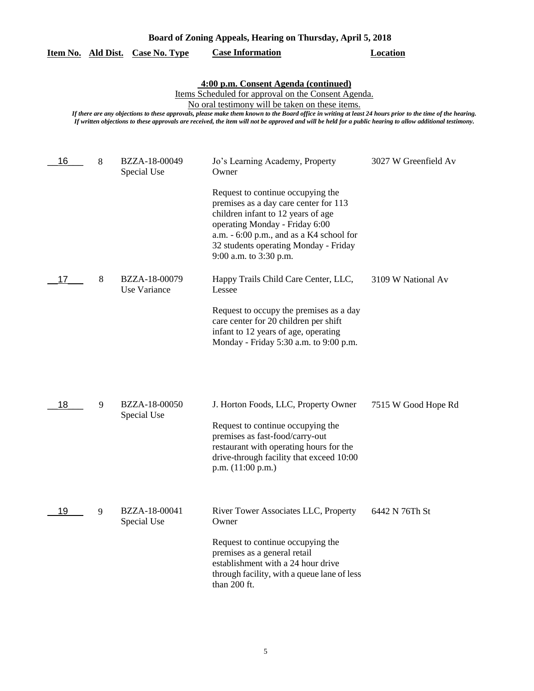|    |   | <u>Item No. Ald Dist. Case No. Type</u> | <b>Case Information</b>                                                                                                                                                                                                                                                                                                                                                                                                                                                  | <b>Location</b>      |
|----|---|-----------------------------------------|--------------------------------------------------------------------------------------------------------------------------------------------------------------------------------------------------------------------------------------------------------------------------------------------------------------------------------------------------------------------------------------------------------------------------------------------------------------------------|----------------------|
|    |   |                                         | 4:00 p.m. Consent Agenda (continued)<br>Items Scheduled for approval on the Consent Agenda.<br>No oral testimony will be taken on these items.<br>If there are any objections to these approvals, please make them known to the Board office in writing at least 24 hours prior to the time of the hearing.<br>If written objections to these approvals are received, the item will not be approved and will be held for a public hearing to allow additional testimony. |                      |
| 16 | 8 | BZZA-18-00049<br>Special Use            | Jo's Learning Academy, Property<br>Owner                                                                                                                                                                                                                                                                                                                                                                                                                                 | 3027 W Greenfield Av |
|    |   |                                         | Request to continue occupying the<br>premises as a day care center for 113<br>children infant to 12 years of age<br>operating Monday - Friday 6:00<br>a.m. $-6:00$ p.m., and as a K4 school for<br>32 students operating Monday - Friday<br>9:00 a.m. to 3:30 p.m.                                                                                                                                                                                                       |                      |
| 17 | 8 | BZZA-18-00079<br>Use Variance           | Happy Trails Child Care Center, LLC,<br>Lessee                                                                                                                                                                                                                                                                                                                                                                                                                           | 3109 W National Av   |
|    |   |                                         | Request to occupy the premises as a day<br>care center for 20 children per shift<br>infant to 12 years of age, operating<br>Monday - Friday 5:30 a.m. to 9:00 p.m.                                                                                                                                                                                                                                                                                                       |                      |
| 18 | 9 | BZZA-18-00050<br>Special Use            | J. Horton Foods, LLC, Property Owner                                                                                                                                                                                                                                                                                                                                                                                                                                     | 7515 W Good Hope Rd  |
|    |   |                                         | Request to continue occupying the<br>premises as fast-food/carry-out<br>restaurant with operating hours for the<br>drive-through facility that exceed 10:00<br>p.m. $(11:00 \text{ p.m.})$                                                                                                                                                                                                                                                                               |                      |
| 19 | 9 | BZZA-18-00041<br>Special Use            | River Tower Associates LLC, Property<br>Owner                                                                                                                                                                                                                                                                                                                                                                                                                            | 6442 N 76Th St       |
|    |   |                                         | Request to continue occupying the<br>premises as a general retail<br>establishment with a 24 hour drive<br>through facility, with a queue lane of less<br>than 200 ft.                                                                                                                                                                                                                                                                                                   |                      |

# **Board of Zoning Appeals, Hearing on Thursday, April 5, 2018**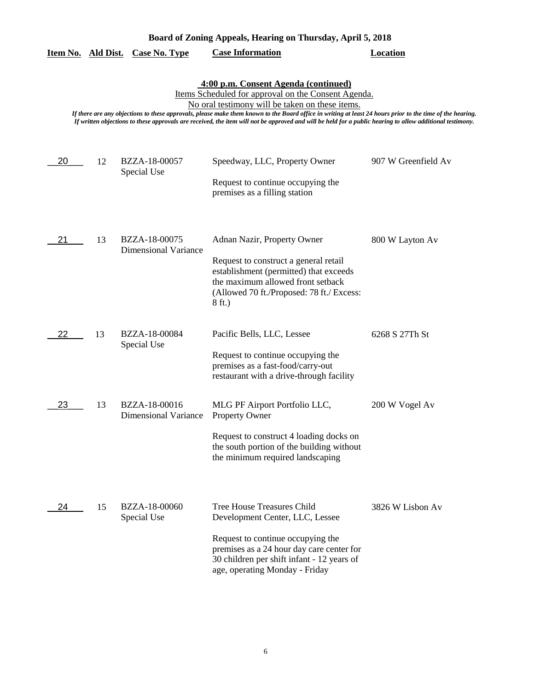|    | 4:00 p.m. Consent Agenda (continued)<br>Items Scheduled for approval on the Consent Agenda.<br>No oral testimony will be taken on these items.<br>If there are any objections to these approvals, please make them known to the Board office in writing at least 24 hours prior to the time of the hearing.<br>If written objections to these approvals are received, the item will not be approved and will be held for a public hearing to allow additional testimony. |                                              |                                                                                                                                                                                                                                        |                     |  |
|----|--------------------------------------------------------------------------------------------------------------------------------------------------------------------------------------------------------------------------------------------------------------------------------------------------------------------------------------------------------------------------------------------------------------------------------------------------------------------------|----------------------------------------------|----------------------------------------------------------------------------------------------------------------------------------------------------------------------------------------------------------------------------------------|---------------------|--|
| 20 | 12                                                                                                                                                                                                                                                                                                                                                                                                                                                                       | BZZA-18-00057<br>Special Use                 | Speedway, LLC, Property Owner<br>Request to continue occupying the<br>premises as a filling station                                                                                                                                    | 907 W Greenfield Av |  |
| 21 | 13                                                                                                                                                                                                                                                                                                                                                                                                                                                                       | BZZA-18-00075<br>Dimensional Variance        | Adnan Nazir, Property Owner<br>Request to construct a general retail<br>establishment (permitted) that exceeds<br>the maximum allowed front setback<br>(Allowed 70 ft./Proposed: 78 ft./ Excess:<br>8 ft.)                             | 800 W Layton Av     |  |
| 22 | 13                                                                                                                                                                                                                                                                                                                                                                                                                                                                       | BZZA-18-00084<br>Special Use                 | Pacific Bells, LLC, Lessee<br>Request to continue occupying the<br>premises as a fast-food/carry-out<br>restaurant with a drive-through facility                                                                                       | 6268 S 27Th St      |  |
| 23 | 13                                                                                                                                                                                                                                                                                                                                                                                                                                                                       | BZZA-18-00016<br><b>Dimensional Variance</b> | MLG PF Airport Portfolio LLC,<br>Property Owner<br>Request to construct 4 loading docks on<br>the south portion of the building without<br>the minimum required landscaping                                                            | 200 W Vogel Av      |  |
| 24 | 15                                                                                                                                                                                                                                                                                                                                                                                                                                                                       | BZZA-18-00060<br>Special Use                 | <b>Tree House Treasures Child</b><br>Development Center, LLC, Lessee<br>Request to continue occupying the<br>premises as a 24 hour day care center for<br>30 children per shift infant - 12 years of<br>age, operating Monday - Friday | 3826 W Lisbon Av    |  |

**Item No. Ald Dist. Case No. Type Case Information Location**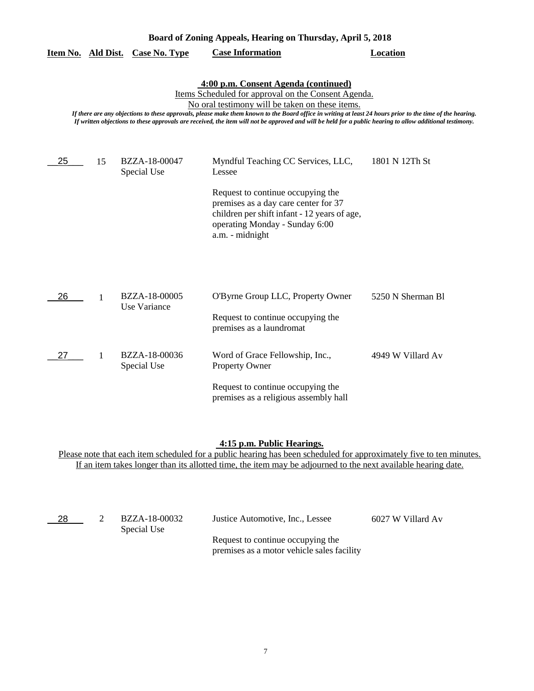| Board of Zoning Appeals, Hearing on Thursday, April 5, 2018 |                                                                                                                                                                                                                                                                                                                                                                                                                                                                          |                               |                                                                                                                                                                                                                                |                   |  |  |  |
|-------------------------------------------------------------|--------------------------------------------------------------------------------------------------------------------------------------------------------------------------------------------------------------------------------------------------------------------------------------------------------------------------------------------------------------------------------------------------------------------------------------------------------------------------|-------------------------------|--------------------------------------------------------------------------------------------------------------------------------------------------------------------------------------------------------------------------------|-------------------|--|--|--|
| Item No. Ald Dist.                                          |                                                                                                                                                                                                                                                                                                                                                                                                                                                                          | <b>Case No. Type</b>          | <b>Case Information</b>                                                                                                                                                                                                        | <b>Location</b>   |  |  |  |
|                                                             | 4:00 p.m. Consent Agenda (continued)<br>Items Scheduled for approval on the Consent Agenda.<br>No oral testimony will be taken on these items.<br>If there are any objections to these approvals, please make them known to the Board office in writing at least 24 hours prior to the time of the hearing.<br>If written objections to these approvals are received, the item will not be approved and will be held for a public hearing to allow additional testimony. |                               |                                                                                                                                                                                                                                |                   |  |  |  |
| 25                                                          | 15                                                                                                                                                                                                                                                                                                                                                                                                                                                                       | BZZA-18-00047<br>Special Use  | Myndful Teaching CC Services, LLC,<br>Lessee<br>Request to continue occupying the<br>premises as a day care center for 37<br>children per shift infant - 12 years of age,<br>operating Monday - Sunday 6:00<br>a.m. - midnight | 1801 N 12Th St    |  |  |  |
| 26                                                          | 1                                                                                                                                                                                                                                                                                                                                                                                                                                                                        | BZZA-18-00005<br>Use Variance | O'Byrne Group LLC, Property Owner<br>Request to continue occupying the<br>premises as a laundromat                                                                                                                             | 5250 N Sherman Bl |  |  |  |
| 27                                                          | 1                                                                                                                                                                                                                                                                                                                                                                                                                                                                        | BZZA-18-00036<br>Special Use  | Word of Grace Fellowship, Inc.,<br>Property Owner<br>Request to continue occupying the<br>premises as a religious assembly hall                                                                                                | 4949 W Villard Av |  |  |  |

#### **4:15 p.m. Public Hearings.**

Please note that each item scheduled for a public hearing has been scheduled for approximately five to ten minutes. If an item takes longer than its allotted time, the item may be adjourned to the next available hearing date.

| - 28 | BZZA-18-00032<br>Special Use | Justice Automotive, Inc., Lessee                                                | 6027 W Villard Av |
|------|------------------------------|---------------------------------------------------------------------------------|-------------------|
|      |                              | Request to continue occupying the<br>premises as a motor vehicle sales facility |                   |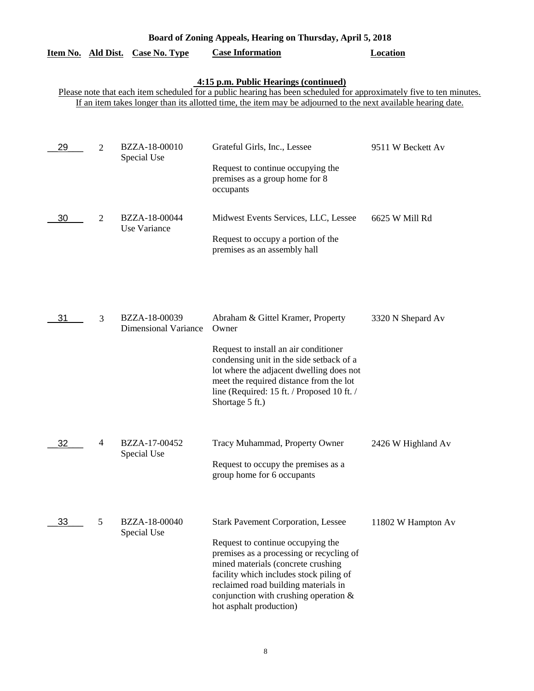| Board of Zoning Appeals, Hearing on Thursday, April 5, 2018 |                |                                              |                                                                                                                                                                                                                                                                                                                            |                    |  |
|-------------------------------------------------------------|----------------|----------------------------------------------|----------------------------------------------------------------------------------------------------------------------------------------------------------------------------------------------------------------------------------------------------------------------------------------------------------------------------|--------------------|--|
| Item No. Ald Dist.                                          |                | <b>Case No. Type</b>                         | <b>Case Information</b>                                                                                                                                                                                                                                                                                                    | <b>Location</b>    |  |
|                                                             |                |                                              | 4:15 p.m. Public Hearings (continued)<br>Please note that each item scheduled for a public hearing has been scheduled for approximately five to ten minutes.<br>If an item takes longer than its allotted time, the item may be adjourned to the next available hearing date.                                              |                    |  |
| 29                                                          | $\overline{2}$ | BZZA-18-00010<br>Special Use                 | Grateful Girls, Inc., Lessee<br>Request to continue occupying the<br>premises as a group home for 8<br>occupants                                                                                                                                                                                                           | 9511 W Beckett Av  |  |
| 30                                                          | $\overline{2}$ | BZZA-18-00044<br>Use Variance                | Midwest Events Services, LLC, Lessee<br>Request to occupy a portion of the<br>premises as an assembly hall                                                                                                                                                                                                                 | 6625 W Mill Rd     |  |
| 31                                                          | 3              | BZZA-18-00039<br><b>Dimensional Variance</b> | Abraham & Gittel Kramer, Property<br>Owner<br>Request to install an air conditioner<br>condensing unit in the side setback of a<br>lot where the adjacent dwelling does not<br>meet the required distance from the lot<br>line (Required: 15 ft. / Proposed 10 ft. /<br>Shortage 5 ft.)                                    | 3320 N Shepard Av  |  |
| 32                                                          | $\overline{4}$ | BZZA-17-00452<br>Special Use                 | Tracy Muhammad, Property Owner<br>Request to occupy the premises as a<br>group home for 6 occupants                                                                                                                                                                                                                        | 2426 W Highland Av |  |
| 33                                                          | 5              | BZZA-18-00040<br>Special Use                 | <b>Stark Pavement Corporation, Lessee</b><br>Request to continue occupying the<br>premises as a processing or recycling of<br>mined materials (concrete crushing<br>facility which includes stock piling of<br>reclaimed road building materials in<br>conjunction with crushing operation $\&$<br>hot asphalt production) | 11802 W Hampton Av |  |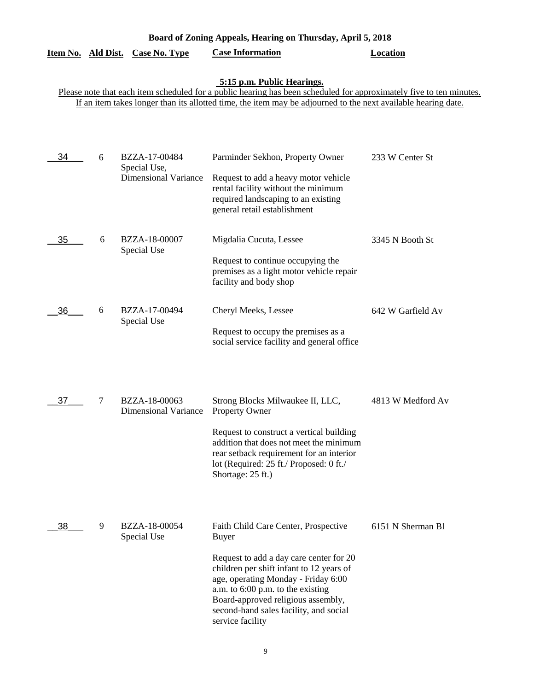|    |        |                                                              | 5:15 p.m. Public Hearings.<br>Please note that each item scheduled for a public hearing has been scheduled for approximately five to ten minutes.<br>If an item takes longer than its allotted time, the item may be adjourned to the next available hearing date.                                                          |                   |
|----|--------|--------------------------------------------------------------|-----------------------------------------------------------------------------------------------------------------------------------------------------------------------------------------------------------------------------------------------------------------------------------------------------------------------------|-------------------|
| 34 | 6      | BZZA-17-00484<br>Special Use,<br><b>Dimensional Variance</b> | Parminder Sekhon, Property Owner<br>Request to add a heavy motor vehicle<br>rental facility without the minimum<br>required landscaping to an existing<br>general retail establishment                                                                                                                                      | 233 W Center St   |
| 35 | 6      | BZZA-18-00007<br>Special Use                                 | Migdalia Cucuta, Lessee<br>Request to continue occupying the<br>premises as a light motor vehicle repair<br>facility and body shop                                                                                                                                                                                          | 3345 N Booth St   |
| 36 | 6      | BZZA-17-00494<br>Special Use                                 | Cheryl Meeks, Lessee<br>Request to occupy the premises as a<br>social service facility and general office                                                                                                                                                                                                                   | 642 W Garfield Av |
| 37 | $\tau$ | BZZA-18-00063<br><b>Dimensional Variance</b>                 | Strong Blocks Milwaukee II, LLC,<br><b>Property Owner</b><br>Request to construct a vertical building<br>addition that does not meet the minimum<br>rear setback requirement for an interior<br>lot (Required: 25 ft./ Proposed: 0 ft./<br>Shortage: 25 ft.)                                                                | 4813 W Medford Av |
| 38 | 9      | BZZA-18-00054<br>Special Use                                 | Faith Child Care Center, Prospective<br><b>Buyer</b><br>Request to add a day care center for 20<br>children per shift infant to 12 years of<br>age, operating Monday - Friday 6:00<br>a.m. to 6:00 p.m. to the existing<br>Board-approved religious assembly,<br>second-hand sales facility, and social<br>service facility | 6151 N Sherman Bl |

**Board of Zoning Appeals, Hearing on Thursday, April 5, 2018** 

**Item No. Ald Dist. Case No. Type Case Information Location**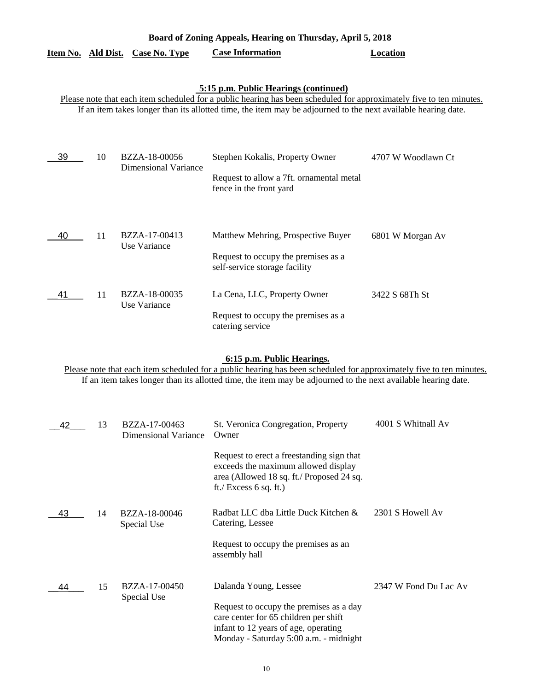| Board of Zoning Appeals, Hearing on Thursday, April 5, 2018 |  |                                  |                         |          |  |  |
|-------------------------------------------------------------|--|----------------------------------|-------------------------|----------|--|--|
|                                                             |  | Item No. Ald Dist. Case No. Type | <b>Case Information</b> | Location |  |  |

#### **5:15 p.m. Public Hearings (continued)**

Please note that each item scheduled for a public hearing has been scheduled for approximately five to ten minutes. If an item takes longer than its allotted time, the item may be adjourned to the next available hearing date.

| 39 | 10 | BZZA-18-00056<br><b>Dimensional Variance</b> | Stephen Kokalis, Property Owner                                      | 4707 W Woodlawn Ct |
|----|----|----------------------------------------------|----------------------------------------------------------------------|--------------------|
|    |    |                                              | Request to allow a 7ft. ornamental metal<br>fence in the front yard  |                    |
|    |    |                                              |                                                                      |                    |
| 40 | 11 | BZZA-17-00413<br>Use Variance                | Matthew Mehring, Prospective Buyer                                   | 6801 W Morgan Av   |
|    |    |                                              | Request to occupy the premises as a<br>self-service storage facility |                    |
| 41 | 11 | BZZA-18-00035<br>Use Variance                | La Cena, LLC, Property Owner                                         | 3422 S 68Th St     |
|    |    |                                              | Request to occupy the premises as a<br>catering service              |                    |

## **6:15 p.m. Public Hearings.**

Please note that each item scheduled for a public hearing has been scheduled for approximately five to ten minutes. If an item takes longer than its allotted time, the item may be adjourned to the next available hearing date.

| 42 | 13 | BZZA-17-00463<br>Dimensional Variance | St. Veronica Congregation, Property<br>Owner                                                                                                                       | 4001 S Whitnall Av    |
|----|----|---------------------------------------|--------------------------------------------------------------------------------------------------------------------------------------------------------------------|-----------------------|
|    |    |                                       | Request to erect a freestanding sign that<br>exceeds the maximum allowed display<br>area (Allowed 18 sq. ft./ Proposed 24 sq.<br>ft./ Excess $6$ sq. ft.)          |                       |
| 43 | 14 | BZZA-18-00046<br>Special Use          | Radbat LLC dba Little Duck Kitchen &<br>Catering, Lessee                                                                                                           | 2301 S Howell Av      |
|    |    |                                       | Request to occupy the premises as an<br>assembly hall                                                                                                              |                       |
| 44 | 15 | BZZA-17-00450<br>Special Use          | Dalanda Young, Lessee                                                                                                                                              | 2347 W Fond Du Lac Av |
|    |    |                                       | Request to occupy the premises as a day<br>care center for 65 children per shift<br>infant to 12 years of age, operating<br>Monday - Saturday 5:00 a.m. - midnight |                       |